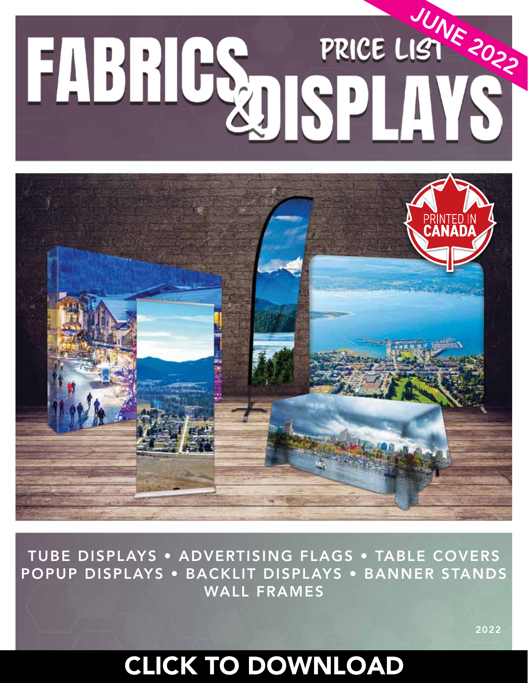# FABRICS PRICE LISTER



TUBE DISPLAYS • ADVERTISING FLAGS • TABLE COVERS POPUP DISPLAYS • BACKLIT DISPLAYS • BANNER STANDS WALL FRAMES

2022

#### CLICK TO DOWNLOAD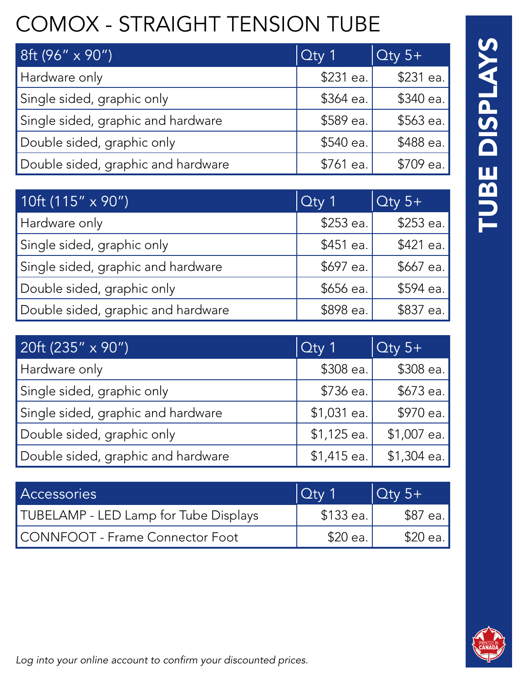# COMOX - STRAIGHT TENSION TUBE

| 8ft (96" x 90")                    | $\overline{O}$ ty 1 | $\overline{\mathrm{O}}$ ty 5+ |
|------------------------------------|---------------------|-------------------------------|
| Hardware only                      | \$231 ea.           | \$231 ea.                     |
| Single sided, graphic only         | \$364 ea.           | \$340 ea.                     |
| Single sided, graphic and hardware | \$589 ea.           | \$563 ea.                     |
| Double sided, graphic only         | \$540 ea.           | \$488 ea.                     |
| Double sided, graphic and hardware | \$761 ea.           | \$709 ea.                     |

| 10ft $(115" \times 90")$           | $Q$ ty 1  | $Q$ ty 5+ |
|------------------------------------|-----------|-----------|
| Hardware only                      | \$253 ea. | \$253 ea. |
| Single sided, graphic only         | \$451 ea. | \$421 ea. |
| Single sided, graphic and hardware | \$697 ea. | \$667 ea. |
| Double sided, graphic only         | \$656 ea. | \$594 ea. |
| Double sided, graphic and hardware | \$898 ea. | \$837 ea. |

| $\sqrt{20}$ ft (235" x 90")        | $Qty$ 1      | $Qty 5+$     |
|------------------------------------|--------------|--------------|
| Hardware only                      | \$308 ea.    | $$308$ ea.   |
| Single sided, graphic only         | \$736 ea.    | \$673 ea.    |
| Single sided, graphic and hardware | $$1,031$ ea. | \$970 ea.    |
| Double sided, graphic only         | $$1,125$ ea. | \$1,007 ea.  |
| Double sided, graphic and hardware | $$1,415$ ea. | $$1,304$ ea. |

| <b>Accessories</b>                    | $\overline{)$ Qtv 1 | $\overline{)$ Qty 5+ |
|---------------------------------------|---------------------|----------------------|
| TUBELAMP - LED Lamp for Tube Displays | $$133$ ea.          | \$87 ea.             |
| CONNFOOT - Frame Connector Foot       | \$20 ea. '          | \$20 ea.             |

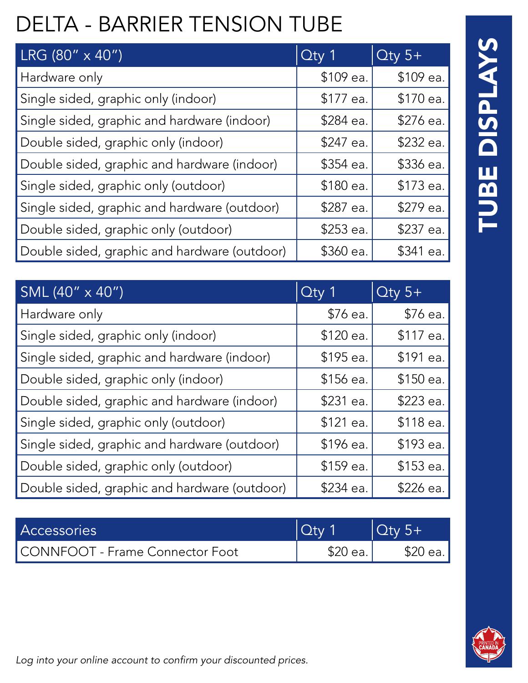# DELTA - BARRIER TENSION TUBE

| LRG (80" x 40")                              | $Q$ ty 1   | $Q$ ty 5+ |
|----------------------------------------------|------------|-----------|
| Hardware only                                | \$109 ea.  | \$109 ea. |
| Single sided, graphic only (indoor)          | \$177 ea.  | \$170 ea. |
| Single sided, graphic and hardware (indoor)  | \$284 ea.  | \$276 ea. |
| Double sided, graphic only (indoor)          | \$247 ea.  | \$232 ea. |
| Double sided, graphic and hardware (indoor)  | $$354$ ea. | \$336 ea. |
| Single sided, graphic only (outdoor)         | \$180 ea.  | \$173 ea. |
| Single sided, graphic and hardware (outdoor) | \$287 ea.  | \$279 ea. |
| Double sided, graphic only (outdoor)         | \$253 ea.  | \$237 ea. |
| Double sided, graphic and hardware (outdoor) | \$360 ea.  | \$341 ea. |

| SML (40" x 40")                              | $\overline{O}$ ty 1 | $Q$ ty 5+ |
|----------------------------------------------|---------------------|-----------|
| Hardware only                                | \$76 ea.            | \$76 ea.  |
| Single sided, graphic only (indoor)          | \$120 ea.           | \$117 ea. |
| Single sided, graphic and hardware (indoor)  | \$195 ea.           | \$191 ea. |
| Double sided, graphic only (indoor)          | $$156$ ea.          | \$150 ea. |
| Double sided, graphic and hardware (indoor)  | \$231 ea.           | \$223 ea. |
| Single sided, graphic only (outdoor)         | \$121 ea.           | \$118 ea. |
| Single sided, graphic and hardware (outdoor) | \$196 ea.           | \$193 ea. |
| Double sided, graphic only (outdoor)         | \$159 ea.           | \$153 ea. |
| Double sided, graphic and hardware (outdoor) | \$234 ea.           | \$226 ea. |

| <b>Accessories</b>              | $\sqrt{$ otv $\sqrt{2}$ | $\vert\vert$ Qtv 5+ $\vert$ |
|---------------------------------|-------------------------|-----------------------------|
| CONNFOOT - Frame Connector Foot | $$20$ ea.               | \$20 ea.                    |

# TUBE DISPLAYS TUBE DISPLAYS

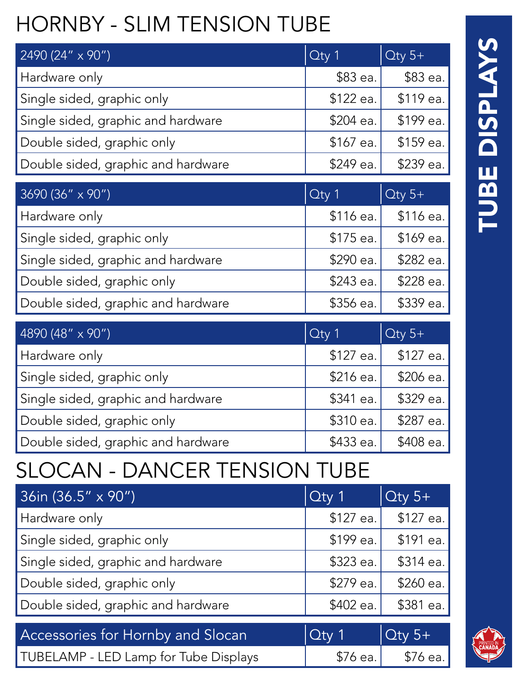# HORNBY - SLIM TENSION TUBE

| 2490 (24" x 90")                   | $Q$ ty 1   | $Q$ ty 5+  |
|------------------------------------|------------|------------|
| Hardware only                      | \$83 ea.   | \$83 ea.   |
| Single sided, graphic only         | \$122 ea.  | \$119 ea.  |
| Single sided, graphic and hardware | \$204 ea.  | \$199 ea.  |
| Double sided, graphic only         | \$167 ea.  | \$159 ea.  |
| Double sided, graphic and hardware | \$249 ea.  | \$239 ea.  |
|                                    |            |            |
| 3690 (36" x 90")                   | Qty 1      | $Q$ ty 5+  |
| Hardware only                      | $$116$ ea. | $$116$ ea. |
| Single sided, graphic only         | $$175$ ea. | \$169 ea.  |
| Single sided, graphic and hardware | \$290 ea.  | \$282 ea.  |
| Double sided, graphic only         | \$243 ea.  | \$228 ea.  |
| Double sided, graphic and hardware | \$356 ea.  | \$339 ea.  |
|                                    |            |            |
|                                    |            |            |

| $4890(48" \times 90")$             | $\alpha$ ty 1 | $\overline{C}$ ty 5+ |
|------------------------------------|---------------|----------------------|
| Hardware only                      | \$127 ea.     | \$127 ea.            |
| Single sided, graphic only         | \$216 ea.     | \$206 ea.            |
| Single sided, graphic and hardware | \$341 ea.     | \$329 ea.            |
| Double sided, graphic only         | \$310 ea.     | \$287 ea.            |
| Double sided, graphic and hardware | \$433 ea.     | \$408 ea.            |

#### SLOCAN - DANCER TENSION TUBE

| $36$ in (36.5" x 90")                    | $\overline{C}$ Cty 1 | $Q$ ty 5+ |
|------------------------------------------|----------------------|-----------|
| Hardware only                            | \$127 ea.            | \$127 ea. |
| Single sided, graphic only               | \$199 ea.            | \$191 ea. |
| Single sided, graphic and hardware       | \$323 ea.            | \$314 ea. |
| Double sided, graphic only               | \$279 ea.            | \$260 ea. |
| Double sided, graphic and hardware       | \$402 ea.            | \$381 ea. |
|                                          |                      |           |
| <b>Accessories for Hornby and Slocan</b> | $Q$ ty 1             | $Q$ ty 5+ |

TUBELAMP - LED Lamp for Tube Displays  $\begin{array}{|c|c|c|c|c|} \hline \end{array}$  \$76 ea.  $\begin{array}{|c|c|c|c|c|c|} \hline \end{array}$  \$76 ea.

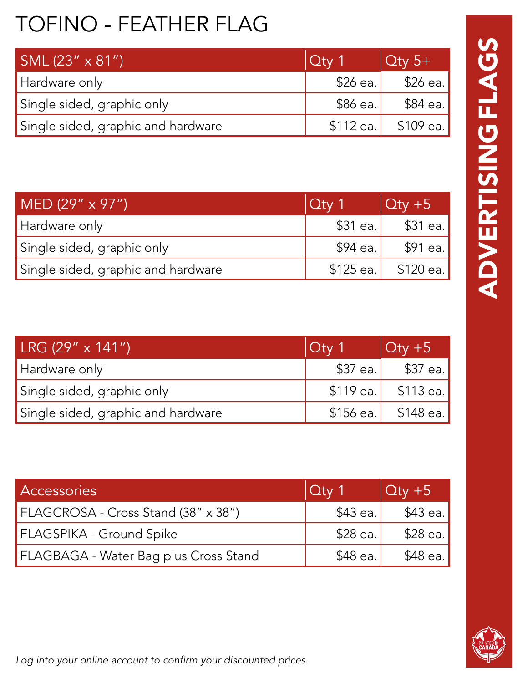# TOFINO - FEATHER FLAG

| $SML(23'' \times 81'')$            | $ $ Qty 1  | $\overline{)$ Oty 5+ |
|------------------------------------|------------|----------------------|
| Hardware only                      | $$26$ ea.  | \$26 ea.             |
| Single sided, graphic only         | \$86 ea.   | \$84 ea.             |
| Single sided, graphic and hardware | $$112$ ea. | \$109 ea.            |

| MED $(29'' \times 97'')$           | $ $ Qty 1  | $ Qty + 5 $ |
|------------------------------------|------------|-------------|
| Hardware only                      | $$31$ ea.  | \$31 ea.    |
| Single sided, graphic only         | \$94 ea.   | \$91 ea.    |
| Single sided, graphic and hardware | $$125$ ea. | \$120 ea.   |

| $LRG (29" \times 141")$            | $ $ Qty 1  | $\vert$ Qty +5 |
|------------------------------------|------------|----------------|
| Hardware only                      | $$37$ ea.  | $$37$ ea.      |
| Single sided, graphic only         | $$119$ ea. | $$113$ ea.     |
| Single sided, graphic and hardware | $$156$ ea. | $$148$ ea.     |

| <b>Accessories</b>                    | $ Q$ ty 1 | $\vert$ Qty +5 |
|---------------------------------------|-----------|----------------|
| FLAGCROSA - Cross Stand (38" x 38")   | \$43 ea.  | $$43$ ea.      |
| FLAGSPIKA - Ground Spike              | \$28 ea.  | $$28$ ea.      |
| FLAGBAGA - Water Bag plus Cross Stand | \$48 ea.  | \$48 ea.       |

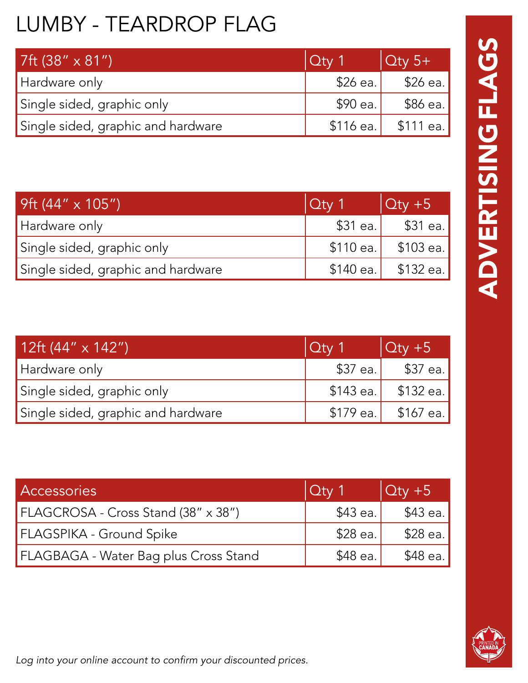# LUMBY - TEARDROP FLAG

| 7ft $(38'' \times 81'')$           | $ $ Qtv 1  | $\overline{)$ Qty 5+ |
|------------------------------------|------------|----------------------|
| Hardware only                      | $$26$ ea.  | \$26 ea.             |
| Single sided, graphic only         | \$90 ea.   | \$86 ea.             |
| Single sided, graphic and hardware | $$116$ ea. | – \$111 ea.          |

| 9ft $(44" \times 105")$            | $ $ Qty 1 | $\vert$ Qty +5        |
|------------------------------------|-----------|-----------------------|
| Hardware only                      | $$31$ ea. | \$31 ea.              |
| Single sided, graphic only         |           | $$110$ ea. $$103$ ea. |
| Single sided, graphic and hardware |           | $$140$ ea. $$132$ ea. |

| 12ft $(44'' \times 142'')$         | $ $ Qty 1  | $\vert$ Qty +5 |
|------------------------------------|------------|----------------|
| Hardware only                      | $$37$ ea.  | $$37$ ea.      |
| Single sided, graphic only         | $$143$ ea. | \$132 ea.      |
| Single sided, graphic and hardware | \$179 ea.' | \$167 ea.      |

| <b>Accessories</b>                    | $\sqrt{C}$ | $\vert$ Qty +5 |
|---------------------------------------|------------|----------------|
| FLAGCROSA - Cross Stand (38" x 38")   | \$43 ea.   | $$43$ ea.      |
| FLAGSPIKA - Ground Spike              | \$28 ea.   | $$28$ ea.      |
| FLAGBAGA - Water Bag plus Cross Stand | \$48 ea.   | $$48$ ea.      |



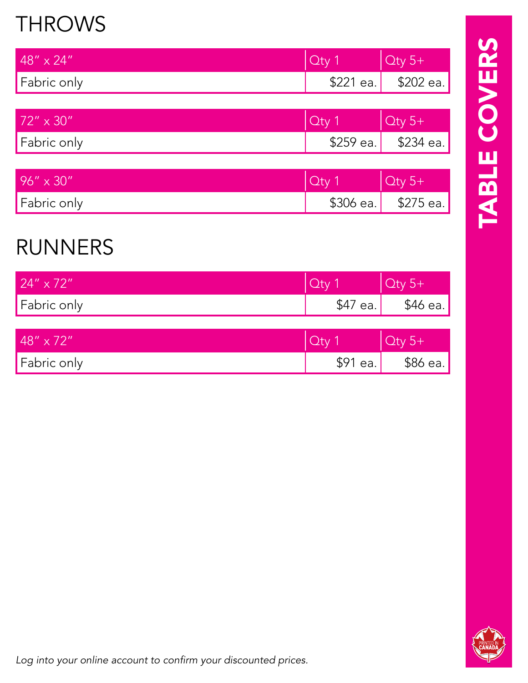#### THROWS

| $48'' \times 24''$ | $Qty$ 1    | $\vert$ Qty 5+        |
|--------------------|------------|-----------------------|
| Fabric only        |            | $$221$ ea. $$202$ ea. |
|                    |            |                       |
| $72'' \times 30''$ | Oty 1      | $Qty 5+$              |
| Fabric only        | $$259$ ea. | \$234 ea.             |

| $96'' \times 30''$ | $\bigcap_{i=1}^n$     |
|--------------------|-----------------------|
| Fabric only        | $$306$ ea. $$275$ ea. |

#### RUNNERS

| $24'' \times 72''$  | Oty 1    | $\vert$ Qty 5+ |
|---------------------|----------|----------------|
| Fabric only         | \$47 ea. | $$46$ ea.      |
|                     |          |                |
| $148'' \times 72''$ | Qty1     | $\vert$ Qty 5+ |
| Fabric only         | \$91 ea. | $$86$ ea.      |

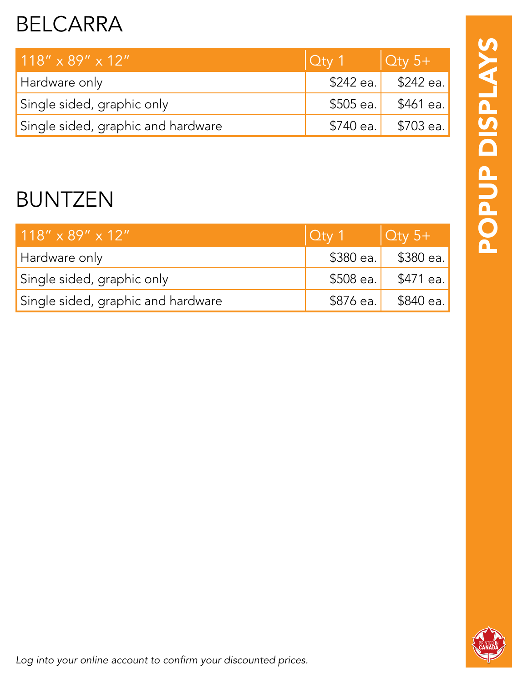#### BELCARRA

| $118'' \times 89'' \times 12''$    | $\overline{Q}$ ty 1 $\overline{Q}$ ty 5+ |                       |
|------------------------------------|------------------------------------------|-----------------------|
| Hardware only                      |                                          | $$242$ ea. $$242$ ea. |
| Single sided, graphic only         |                                          | $$505$ ea. $$461$ ea. |
| Single sided, graphic and hardware |                                          | $$740$ ea. $$703$ ea. |

#### BUNTZEN

| $118'' \times 89'' \times 12''$    | $\overline{Q}$ ty 1 $\overline{Q}$ ty 5+ |                    |
|------------------------------------|------------------------------------------|--------------------|
| Hardware only                      |                                          | \$380 ea. 3380 ea. |
| Single sided, graphic only         | \$508 ea.                                | \$471 ea.          |
| Single sided, graphic and hardware | $$876$ ea.                               | \$840 ea.          |

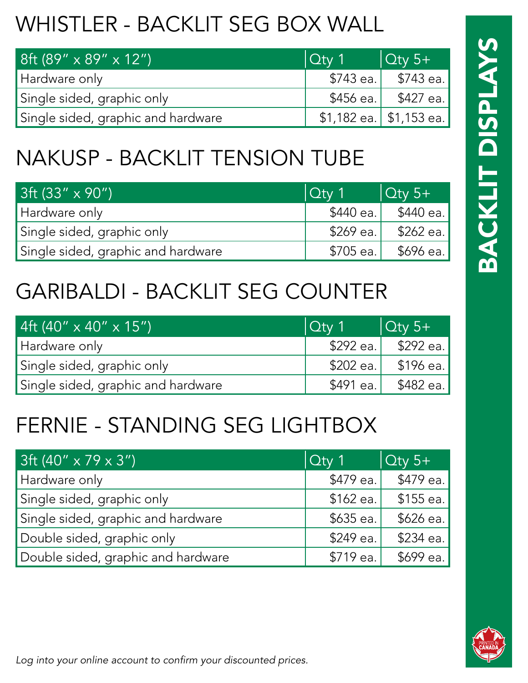# WHISTLER - BACKLIT SEG BOX WALL

| $8ft (89'' \times 89'' \times 12'')$ | $ $ Qty 1 | $\vert$ Qty 5+             |
|--------------------------------------|-----------|----------------------------|
| Hardware only                        |           | $$743$ ea. $$743$ ea.      |
| Single sided, graphic only           |           | $$456$ ea. $$427$ ea.      |
| Single sided, graphic and hardware   |           | $$1,182$ ea.   \$1,153 ea. |

#### NAKUSP - BACKLIT TENSION TUBE

| $3ft (33" \times 90")$             | $ $ Qtv 1   | $\vert$ Qty 5+ |
|------------------------------------|-------------|----------------|
| Hardware only                      | \$440 ea. I | \$440 ea.      |
| Single sided, graphic only         | \$269 ea.   | \$262 ea.      |
| Single sided, graphic and hardware | $$705$ ea.  | \$696 ea.      |

#### GARIBALDI - BACKLIT SEG COUNTER

| 4ft (40" x 40" x 15")'             | $ $ Qty 1 | $\vert$ Qty 5+ |
|------------------------------------|-----------|----------------|
| Hardware only                      | \$292 ea. | \$292 ea.      |
| Single sided, graphic only         | \$202 ea. | \$196 ea.'     |
| Single sided, graphic and hardware | \$491 ea. | \$482 ea. l    |

#### FERNIE - STANDING SEG LIGHTBOX

| $3ft (40'' \times 79 \times 3'')$  | $\Omega$ ty 1 | $\overline{)$ Qty 5+ |
|------------------------------------|---------------|----------------------|
| Hardware only                      | \$479 ea.     | \$479 ea.            |
| Single sided, graphic only         | $$162$ ea.    | $$155$ ea.           |
| Single sided, graphic and hardware | $$635$ ea.    | \$626 ea.            |
| Double sided, graphic only         | \$249 ea.     | \$234 ea.            |
| Double sided, graphic and hardware | \$719 ea.     | \$699 ea.            |

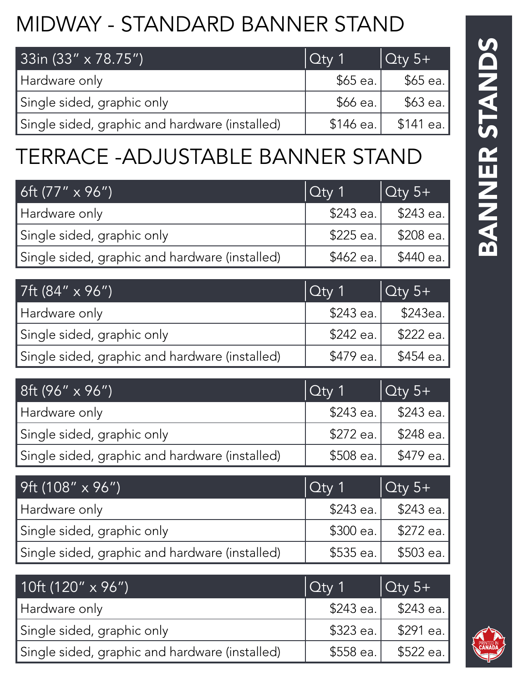# MIDWAY - STANDARD BANNER STAND

| 33in (33" x 78.75")                            | $\sqrt{Q_t}$ 1 | $\overline{)$ Qty 5+ |
|------------------------------------------------|----------------|----------------------|
| Hardware only                                  | $$65$ ea.      | \$65 ea.             |
| Single sided, graphic only                     | \$66 ea.       | \$63 ea.             |
| Single sided, graphic and hardware (installed) | \$146 ea.      | \$141 ea.            |

#### TERRACE -ADJUSTABLE BANNER STAND

| 6ft $(77" \times 96")$                         | $\int$ Cty 1 | $\overline{)$ Qty 5+ |
|------------------------------------------------|--------------|----------------------|
| Hardware only                                  | \$243 ea.    | \$243 ea. l          |
| Single sided, graphic only                     | \$225 ea.    | \$208 ea.            |
| Single sided, graphic and hardware (installed) | \$462 ea.    | \$440 ea.            |

| $\vert$ 7ft (84" x 96").                       | $\int$ Cty 1 | $\sqrt{\frac{C_{\text{UV}}}{5+}}$ |
|------------------------------------------------|--------------|-----------------------------------|
| Hardware only                                  | $$243$ ea.   | \$243ea.'                         |
| Single sided, graphic only                     | \$242 ea.    | \$222 ea.                         |
| Single sided, graphic and hardware (installed) | $$479$ ea.   | \$454 ea.                         |

| 8ft $(96" \times 96")$                         | $ $ Qty 1  | $\sqrt{\frac{C_{\text{UV}}}{5+}}$ |
|------------------------------------------------|------------|-----------------------------------|
| Hardware only                                  |            | $$243$ ea. $$243$ ea.             |
| Single sided, graphic only                     | $$272$ ea. | \$248 ea.                         |
| Single sided, graphic and hardware (installed) | $$508$ ea. | \$479 ea.                         |

| $9ft (108" \times 96")$                        | $ $ Qty 1  | $\int$ Oty 5+           |
|------------------------------------------------|------------|-------------------------|
| Hardware only                                  |            | $$243$ ea. $$243$ ea.   |
| Single sided, graphic only                     |            | $$300$ ea.   $$272$ ea. |
| Single sided, graphic and hardware (installed) | $$535$ ea. | \$503 ea.               |

| 10ft (120" $\times$ 96")                       | $ $ Qty 1 | $\overline{)$ Qty 5+ |
|------------------------------------------------|-----------|----------------------|
| Hardware only                                  | \$243 ea. | \$243 ea. l          |
| Single sided, graphic only                     | \$323 ea. | \$291 ea. l          |
| Single sided, graphic and hardware (installed) | \$558 ea. | \$522 ea. !          |

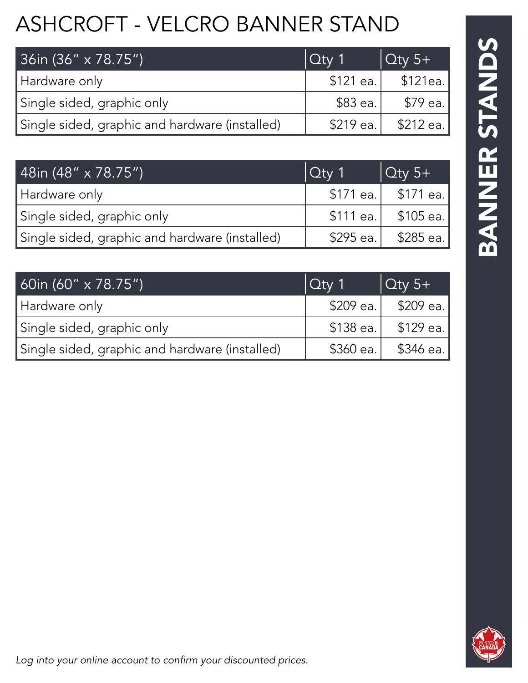# ASHCROFT - VELCRO BANNER STAND

| 36in (36" x 78.75")                            | $ $ Qty 1 | $\sqrt{\frac{C_{\text{UV}}}{5+}}$ |
|------------------------------------------------|-----------|-----------------------------------|
| Hardware only                                  | \$121 ea. | \$121ea.'                         |
| Single sided, graphic only                     | \$83 ea.  | \$79 ea.                          |
| Single sided, graphic and hardware (installed) | \$219 ea. | – \$212 ea.∣                      |

| 48in (48" x 78.75")                            | $\vert$ Qty 1 | $\vert$ Qty 5+             |
|------------------------------------------------|---------------|----------------------------|
| Hardware only                                  |               | \$171 ea. 3171 ea.         |
| Single sided, graphic only                     |               | $$111$ ea. $$\,$ \$105 ea. |
| Single sided, graphic and hardware (installed) |               | $$295$ ea.   $$285$ ea.    |

| 60in (60" $\times$ 78.75")                     | $ $ Qty 1  | $\sqrt{\frac{C_{\text{UV}}}{5+}}$ |
|------------------------------------------------|------------|-----------------------------------|
| Hardware only                                  | \$209 ea.  | – \$209 ea. l                     |
| Single sided, graphic only                     | $$138$ ea. | –\$129 ea.∣                       |
| Single sided, graphic and hardware (installed) | $$360$ ea. | ∫346 ea.                          |